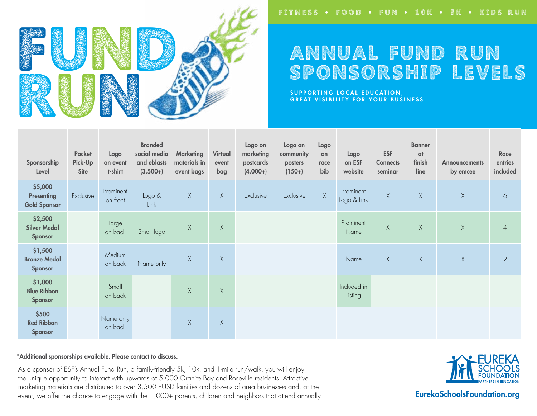

# ANNUAL FUND RUN SPONSORSHIP LEVELS

SUPPORTING LOCAL EDUCATION, GREAT VISIBILITY FOR YOUR BUSINESS

| Sponsorship<br>Level                                | Packet<br>Pick-Up<br><b>Site</b> | Logo<br>on event<br>t-shirt | <b>Branded</b><br>social media<br>and eblasts<br>$(3,500+)$ | <b>Marketing</b><br>materials in<br>event bags | Virtual<br>event<br>bag | Logo on<br>marketing<br>postcards<br>$(4,000+)$ | Logo on<br>community<br>posters<br>$(150+)$ | Logo<br>on<br>race<br>bib | Logo<br>on ESF<br>website | <b>ESF</b><br><b>Connects</b><br>seminar | <b>Banner</b><br>at<br>finish<br>line | <b>Announcements</b><br>by emcee | Race<br>entries<br>included |
|-----------------------------------------------------|----------------------------------|-----------------------------|-------------------------------------------------------------|------------------------------------------------|-------------------------|-------------------------------------------------|---------------------------------------------|---------------------------|---------------------------|------------------------------------------|---------------------------------------|----------------------------------|-----------------------------|
| \$5,000<br><b>Presenting</b><br><b>Gold Sponsor</b> | Exclusive                        | Prominent<br>on front       | Logo &<br>Link                                              | X                                              | $\chi$                  | Exclusive                                       | Exclusive                                   | $\chi$                    | Prominent<br>Logo & Link  | X                                        | X                                     | $\mathsf X$                      | $\circ$                     |
| \$2,500<br><b>Silver Medal</b><br>Sponsor           |                                  | Large<br>on back            | Small logo                                                  | $\mathsf X$                                    | $\chi$                  |                                                 |                                             |                           | Prominent<br>Name         | $\mathsf X$                              | X                                     | $\mathsf X$                      | $\overline{4}$              |
| \$1,500<br><b>Bronze Medal</b><br>Sponsor           |                                  | Medium<br>on back           | Name only                                                   | X                                              | X                       |                                                 |                                             |                           | Name                      | X                                        | $\chi$                                | X                                | $\overline{2}$              |
| \$1,000<br><b>Blue Ribbon</b><br>Sponsor            |                                  | Small<br>on back            |                                                             | $\mathsf X$                                    | $\mathsf X$             |                                                 |                                             |                           | Included in<br>Listing    |                                          |                                       |                                  |                             |
| \$500<br><b>Red Ribbon</b><br>Sponsor               |                                  | Name only<br>on back        |                                                             | $\mathsf X$                                    | $\mathsf X$             |                                                 |                                             |                           |                           |                                          |                                       |                                  |                             |

#### \*Additional sponsorships available. Please contact to discuss.

As a sponsor of ESF's Annual Fund Run, a family-friendly 5k, 10k, and 1-mile run/walk, you will enjoy the unique opportunity to interact with upwards of 5,000 Granite Bay and Roseville residents. Attractive marketing materials are distributed to over 3,500 EUSD families and dozens of area businesses and, at the event, we offer the chance to engage with the 1,000+ parents, children and neighbors that attend annually.



EurekaSchoolsFoundation.org